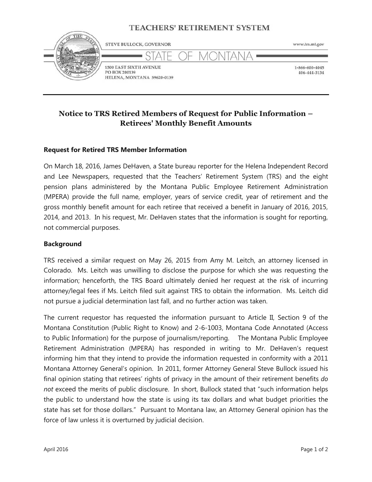## **TEACHERS' RETIREMENT SYSTEM**



# **Notice to TRS Retired Members of Request for Public Information – Retirees' Monthly Benefit Amounts**

### **Request for Retired TRS Member Information**

On March 18, 2016, James DeHaven, a State bureau reporter for the Helena Independent Record and Lee Newspapers, requested that the Teachers' Retirement System (TRS) and the eight pension plans administered by the Montana Public Employee Retirement Administration (MPERA) provide the full name, employer, years of service credit, year of retirement and the gross monthly benefit amount for each retiree that received a benefit in January of 2016, 2015, 2014, and 2013. In his request, Mr. DeHaven states that the information is sought for reporting, not commercial purposes.

#### **Background**

TRS received a similar request on May 26, 2015 from Amy M. Leitch, an attorney licensed in Colorado. Ms. Leitch was unwilling to disclose the purpose for which she was requesting the information; henceforth, the TRS Board ultimately denied her request at the risk of incurring attorney/legal fees if Ms. Leitch filed suit against TRS to obtain the information. Ms. Leitch did not pursue a judicial determination last fall, and no further action was taken.

The current requestor has requested the information pursuant to Article II, Section 9 of the Montana Constitution (Public Right to Know) and 2-6-1003, Montana Code Annotated (Access to Public Information) for the purpose of journalism/reporting. The Montana Public Employee Retirement Administration (MPERA) has responded in writing to Mr. DeHaven's request informing him that they intend to provide the information requested in conformity with a 2011 Montana Attorney General's opinion. In 2011, former Attorney General Steve Bullock issued his final opinion stating that retirees' rights of privacy in the amount of their retirement benefits *do not* exceed the merits of public disclosure. In short, Bullock stated that "such information helps the public to understand how the state is using its tax dollars and what budget priorities the state has set for those dollars." Pursuant to Montana law, an Attorney General opinion has the force of law unless it is overturned by judicial decision.